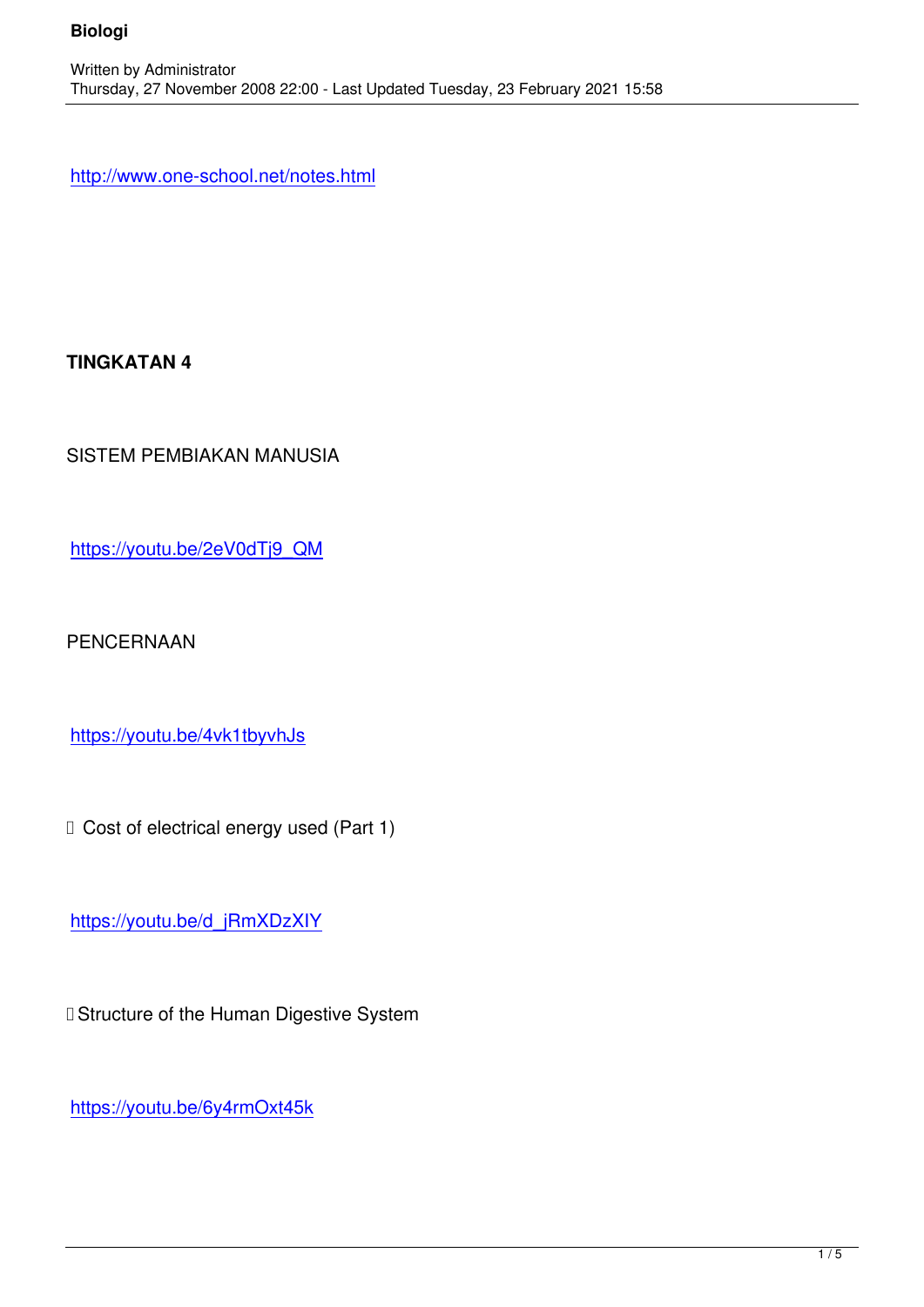http://www.one-school.net/notes.html

**TINGKATAN 4**

SISTEM PEMBIAKAN MANUSIA

https://youtu.be/2eV0dTj9\_QM

[PENCERNAAN](https://youtu.be/2eV0dTj9_QM)

https://youtu.be/4vk1tbyvhJs

□ Cost of electrical energy used (Part 1)

https://youtu.be/d\_jRmXDzXIY

□ Structure of the Human Digestive System

https://youtu.be/6y4rmOxt45k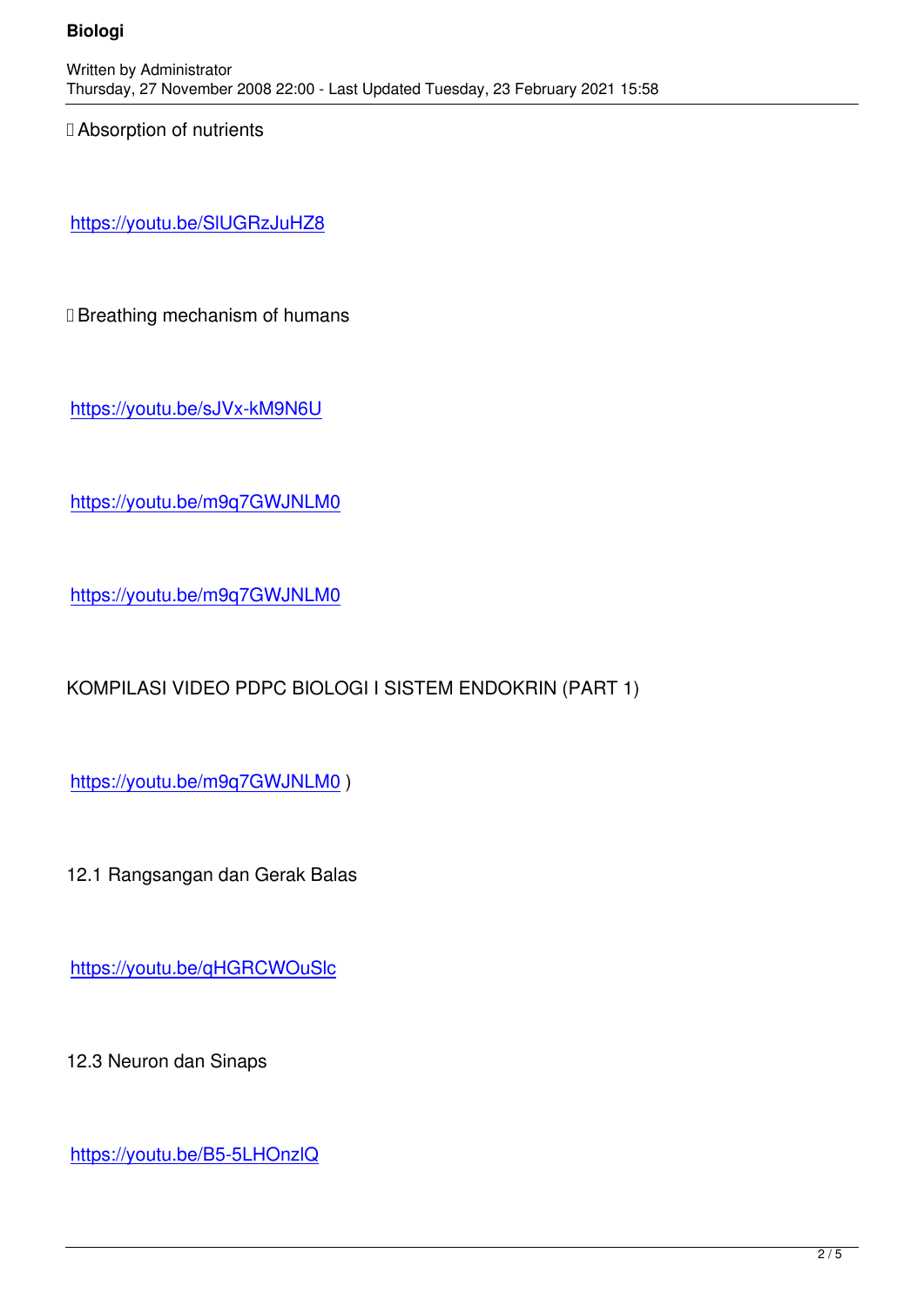□ Absorption of nutrients

https://youtu.be/SlUGRzJuHZ8

□ Breathing mechanism of humans

https://youtu.be/sJVx-kM9N6U

[https://youtu.be/m9q7GWJNLM](https://youtu.be/sJVx-kM9N6U)0

<https://youtu.be/m9q7GWJNLM0>

[KOMPILASI VIDEO PDPC BIOLO](https://youtu.be/m9q7GWJNLM0)GI I SISTEM ENDOKRIN (PART 1)

https://youtu.be/m9q7GWJNLM0 )

[12.1 Rangsangan dan Gerak Bala](https://youtu.be/m9q7GWJNLM0)s

https://youtu.be/qHGRCWOuSlc

[12.3 Neuron dan Sinaps](https://youtu.be/qHGRCWOuSlc)

https://youtu.be/B5-5LHOnzlQ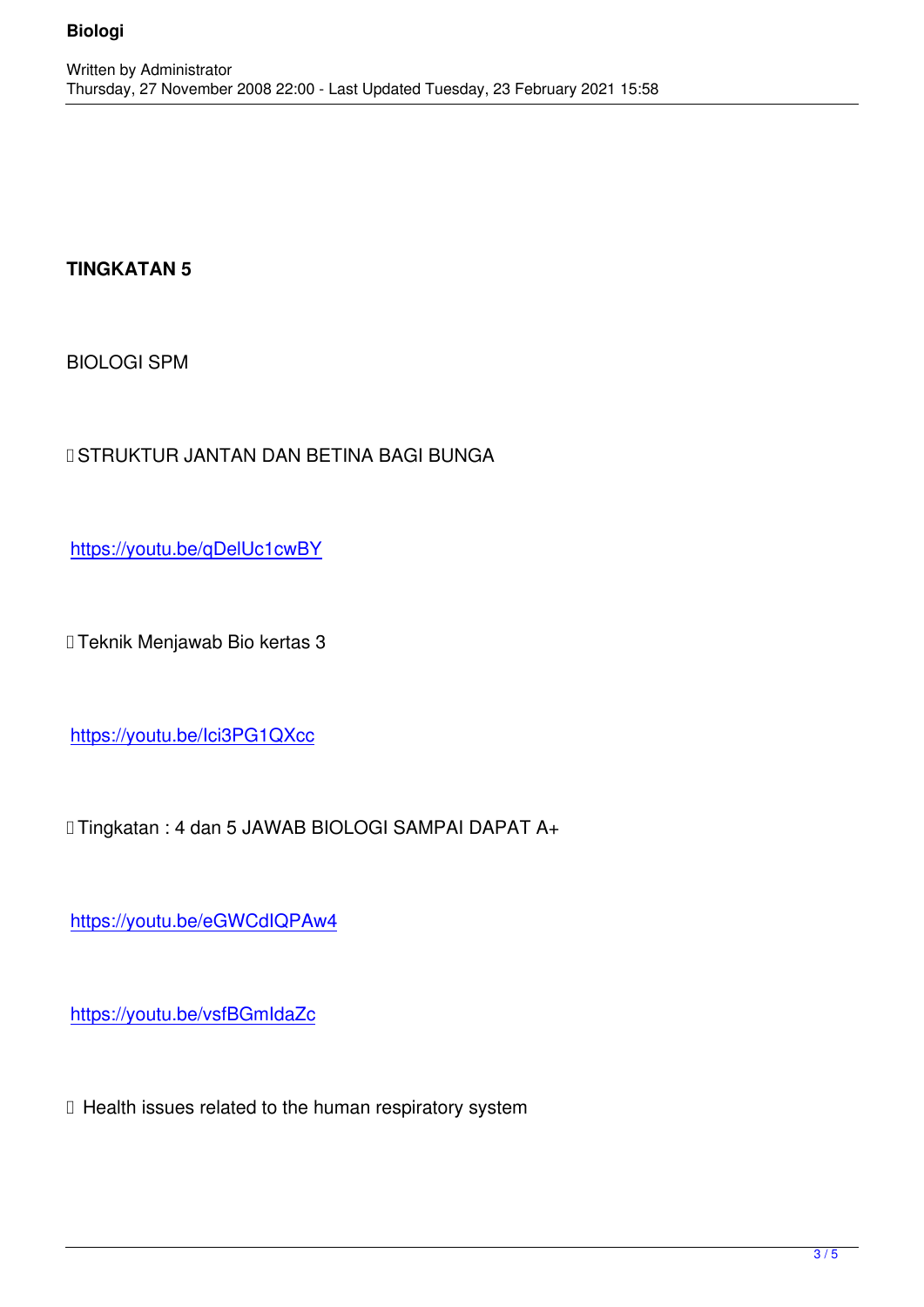## **TINGKATAN 5**

BIOLOGI SPM

## ✅STRUKTUR JANTAN DAN BETINA BAGI BUNGA

https://youtu.be/qDelUc1cwBY

[✅Teknik Menjawab Bio kertas 3](https://youtu.be/qDelUc1cwBY)

https://youtu.be/Ici3PG1QXcc

## [✅Tingkatan : 4 dan 5 JAWAB B](https://youtu.be/Ici3PG1QXcc)IOLOGI SAMPAI DAPAT A+

https://youtu.be/eGWCdIQPAw4

[https://youtu.be/vsfBGmIdaZc](https://youtu.be/eGWCdIQPAw4)

[✅ Health issues related to the h](https://youtu.be/vsfBGmIdaZc)uman respiratory system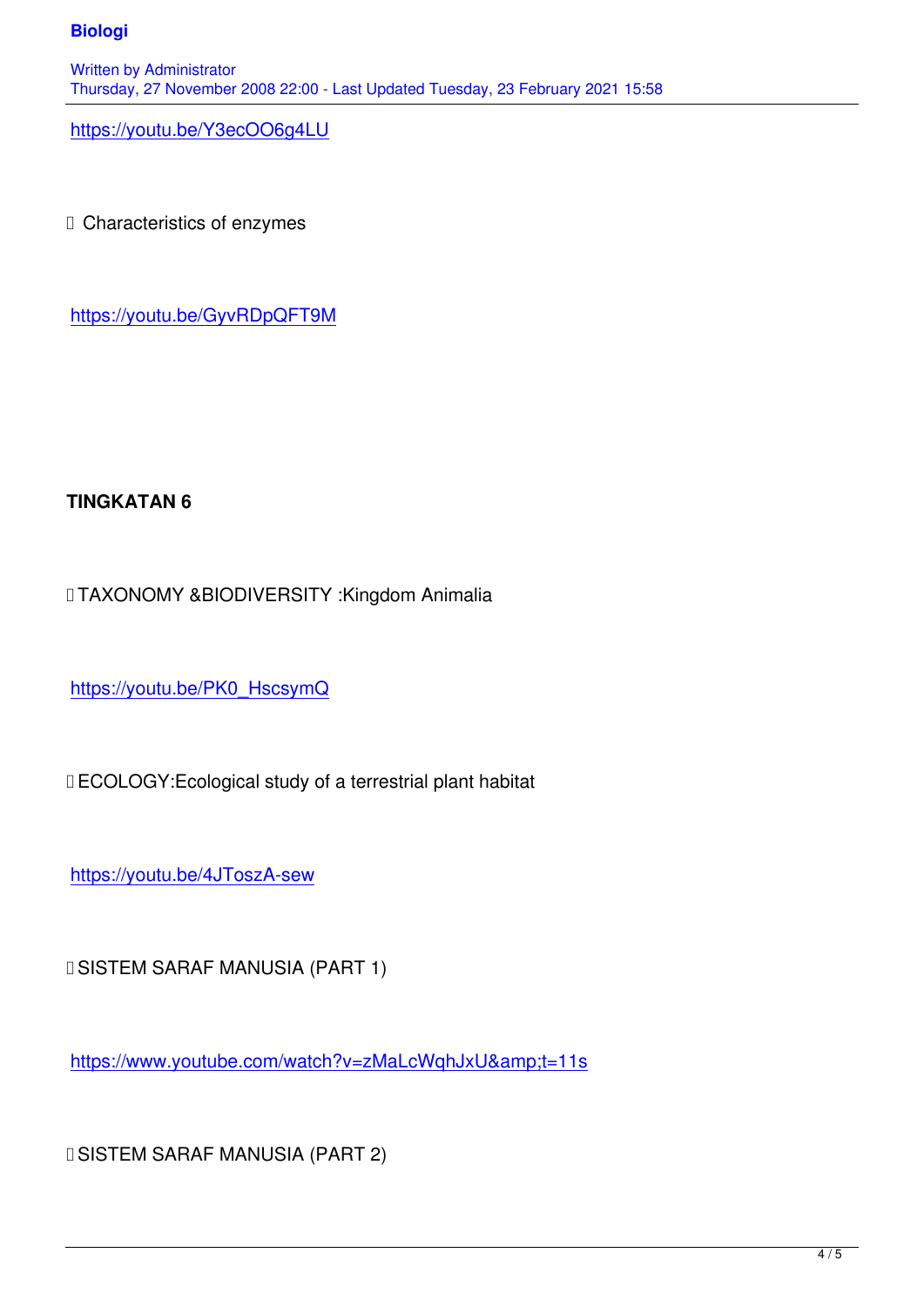https://youtu.be/Y3ecOO6g4LU

□ Characteristics of enzymes

https://youtu.be/GyvRDpQFT9M

## **TINGKATAN 6**

✅TAXONOMY &BIODIVERSITY :Kingdom Animalia

https://youtu.be/PK0\_HscsymQ

[✅ECOLOGY:Ecological study of](https://youtu.be/PK0_HscsymQ) a terrestrial plant habitat

https://youtu.be/4JToszA-sew

[✅SISTEM SARAF MANUSIA \(](https://youtu.be/4JToszA-sew)PART 1)

https://www.youtube.com/watch?v=zMaLcWqhJxU&t=11s

[✅SISTEM SARAF MANUSIA \(PART 2\)](https://www.youtube.com/watch?v=zMaLcWqhJxU&t=11s)